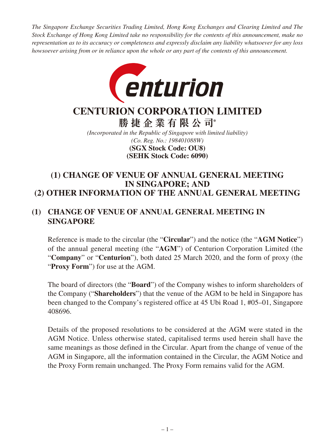*The Singapore Exchange Securities Trading Limited, Hong Kong Exchanges and Clearing Limited and The Stock Exchange of Hong Kong Limited take no responsibility for the contents of this announcement, make no representation as to its accuracy or completeness and expressly disclaim any liability whatsoever for any loss howsoever arising from or in reliance upon the whole or any part of the contents of this announcement.*



# **CENTURION CORPORATION LIMITED**

**勝捷企業有限公司\***

*(Incorporated in the Republic of Singapore with limited liability) (Co. Reg. No.: 198401088W)* **(SEHK Stock Code: 6090) (SGX Stock Code: OU8)**

## **(1) CHANGE OF VENUE OF ANNUAL GENERAL MEETING IN SINGAPORE; AND (2) OTHER INFORMATION OF THE ANNUAL GENERAL MEETING**

## **(1) CHANGE OF VENUE OF ANNUAL GENERAL MEETING IN SINGAPORE**

Reference is made to the circular (the "**Circular**") and the notice (the "**AGM Notice**") of the annual general meeting (the "**AGM**") of Centurion Corporation Limited (the "**Company**" or "**Centurion**"), both dated 25 March 2020, and the form of proxy (the "**Proxy Form**") for use at the AGM.

The board of directors (the "**Board**") of the Company wishes to inform shareholders of the Company ("**Shareholders**") that the venue of the AGM to be held in Singapore has been changed to the Company's registered office at 45 Ubi Road 1, #05–01, Singapore 408696.

Details of the proposed resolutions to be considered at the AGM were stated in the AGM Notice. Unless otherwise stated, capitalised terms used herein shall have the same meanings as those defined in the Circular. Apart from the change of venue of the AGM in Singapore, all the information contained in the Circular, the AGM Notice and the Proxy Form remain unchanged. The Proxy Form remains valid for the AGM.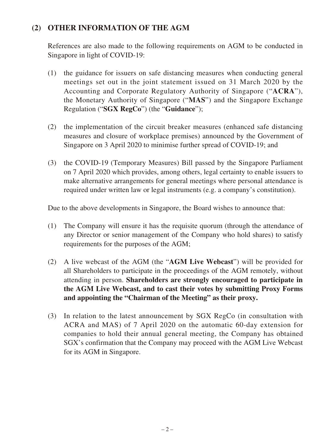## **(2) OTHER INFORMATION OF THE AGM**

References are also made to the following requirements on AGM to be conducted in Singapore in light of COVID-19:

- (1) the guidance for issuers on safe distancing measures when conducting general meetings set out in the joint statement issued on 31 March 2020 by the Accounting and Corporate Regulatory Authority of Singapore ("**ACRA**"), the Monetary Authority of Singapore ("**MAS**") and the Singapore Exchange Regulation ("**SGX RegCo**") (the "**Guidance**");
- (2) the implementation of the circuit breaker measures (enhanced safe distancing measures and closure of workplace premises) announced by the Government of Singapore on 3 April 2020 to minimise further spread of COVID-19; and
- (3) the COVID-19 (Temporary Measures) Bill passed by the Singapore Parliament on 7 April 2020 which provides, among others, legal certainty to enable issuers to make alternative arrangements for general meetings where personal attendance is required under written law or legal instruments (e.g. a company's constitution).

Due to the above developments in Singapore, the Board wishes to announce that:

- (1) The Company will ensure it has the requisite quorum (through the attendance of any Director or senior management of the Company who hold shares) to satisfy requirements for the purposes of the AGM;
- (2) A live webcast of the AGM (the "**AGM Live Webcast**") will be provided for all Shareholders to participate in the proceedings of the AGM remotely, without attending in person. **Shareholders are strongly encouraged to participate in the AGM Live Webcast, and to cast their votes by submitting Proxy Forms and appointing the "Chairman of the Meeting" as their proxy.**
- (3) In relation to the latest announcement by SGX RegCo (in consultation with ACRA and MAS) of 7 April 2020 on the automatic 60-day extension for companies to hold their annual general meeting, the Company has obtained SGX's confirmation that the Company may proceed with the AGM Live Webcast for its AGM in Singapore.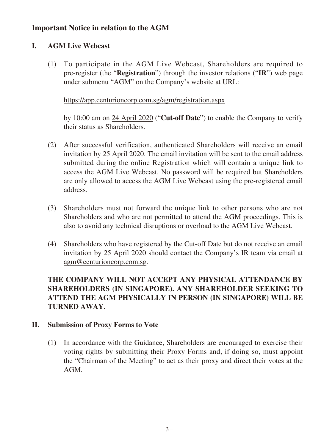## **Important Notice in relation to the AGM**

#### **I. AGM Live Webcast**

(1) To participate in the AGM Live Webcast, Shareholders are required to pre-register (the "**Registration**") through the investor relations ("**IR**") web page under submenu "AGM" on the Company's website at URL:

#### https://app.centurioncorp.com.sg/agm/registration.aspx

by 10:00 am on 24 April 2020 ("**Cut-off Date**") to enable the Company to verify their status as Shareholders.

- (2) After successful verification, authenticated Shareholders will receive an email invitation by 25 April 2020. The email invitation will be sent to the email address submitted during the online Registration which will contain a unique link to access the AGM Live Webcast. No password will be required but Shareholders are only allowed to access the AGM Live Webcast using the pre-registered email address.
- (3) Shareholders must not forward the unique link to other persons who are not Shareholders and who are not permitted to attend the AGM proceedings. This is also to avoid any technical disruptions or overload to the AGM Live Webcast.
- (4) Shareholders who have registered by the Cut-off Date but do not receive an email invitation by 25 April 2020 should contact the Company's IR team via email at agm@centurioncorp.com.sg.

## **THE COMPANY WILL NOT ACCEPT ANY PHYSICAL ATTENDANCE BY SHAREHOLDERS (IN SINGAPORE). ANY SHAREHOLDER SEEKING TO ATTEND THE AGM PHYSICALLY IN PERSON (IN SINGAPORE) WILL BE TURNED AWAY.**

#### **II. Submission of Proxy Forms to Vote**

(1) In accordance with the Guidance, Shareholders are encouraged to exercise their voting rights by submitting their Proxy Forms and, if doing so, must appoint the "Chairman of the Meeting" to act as their proxy and direct their votes at the AGM.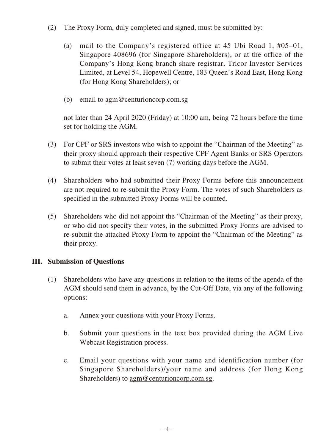- (2) The Proxy Form, duly completed and signed, must be submitted by:
	- (a) mail to the Company's registered office at 45 Ubi Road 1, #05–01, Singapore 408696 (for Singapore Shareholders), or at the office of the Company's Hong Kong branch share registrar, Tricor Investor Services Limited, at Level 54, Hopewell Centre, 183 Queen's Road East, Hong Kong (for Hong Kong Shareholders); or
	- (b) email to agm@centurioncorp.com.sg

not later than 24 April 2020 (Friday) at 10:00 am, being 72 hours before the time set for holding the AGM.

- (3) For CPF or SRS investors who wish to appoint the "Chairman of the Meeting" as their proxy should approach their respective CPF Agent Banks or SRS Operators to submit their votes at least seven (7) working days before the AGM.
- (4) Shareholders who had submitted their Proxy Forms before this announcement are not required to re-submit the Proxy Form. The votes of such Shareholders as specified in the submitted Proxy Forms will be counted.
- (5) Shareholders who did not appoint the "Chairman of the Meeting" as their proxy, or who did not specify their votes, in the submitted Proxy Forms are advised to re-submit the attached Proxy Form to appoint the "Chairman of the Meeting" as their proxy.

### **III. Submission of Questions**

- (1) Shareholders who have any questions in relation to the items of the agenda of the AGM should send them in advance, by the Cut-Off Date, via any of the following options:
	- a. Annex your questions with your Proxy Forms.
	- b. Submit your questions in the text box provided during the AGM Live Webcast Registration process.
	- c. Email your questions with your name and identification number (for Singapore Shareholders)/your name and address (for Hong Kong Shareholders) to agm@centurioncorp.com.sg.